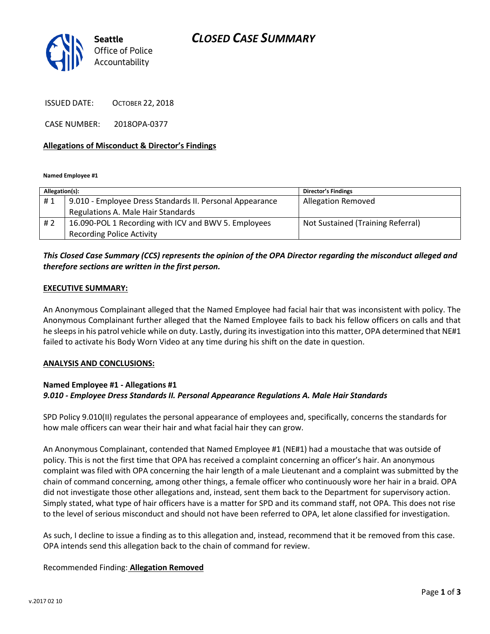# *CLOSED CASE SUMMARY*



ISSUED DATE: OCTOBER 22, 2018

CASE NUMBER: 2018OPA-0377

#### **Allegations of Misconduct & Director's Findings**

**Named Employee #1**

| Allegation(s): |                                                          | Director's Findings               |
|----------------|----------------------------------------------------------|-----------------------------------|
| #1             | 9.010 - Employee Dress Standards II. Personal Appearance | <b>Allegation Removed</b>         |
|                | Regulations A. Male Hair Standards                       |                                   |
| #2             | 16.090-POL 1 Recording with ICV and BWV 5. Employees     | Not Sustained (Training Referral) |
|                | <b>Recording Police Activity</b>                         |                                   |

## *This Closed Case Summary (CCS) represents the opinion of the OPA Director regarding the misconduct alleged and therefore sections are written in the first person.*

#### **EXECUTIVE SUMMARY:**

An Anonymous Complainant alleged that the Named Employee had facial hair that was inconsistent with policy. The Anonymous Complainant further alleged that the Named Employee fails to back his fellow officers on calls and that he sleeps in his patrol vehicle while on duty. Lastly, during its investigation into this matter, OPA determined that NE#1 failed to activate his Body Worn Video at any time during his shift on the date in question.

#### **ANALYSIS AND CONCLUSIONS:**

### **Named Employee #1 - Allegations #1** *9.010 - Employee Dress Standards II. Personal Appearance Regulations A. Male Hair Standards*

SPD Policy 9.010(II) regulates the personal appearance of employees and, specifically, concerns the standards for how male officers can wear their hair and what facial hair they can grow.

An Anonymous Complainant, contended that Named Employee #1 (NE#1) had a moustache that was outside of policy. This is not the first time that OPA has received a complaint concerning an officer's hair. An anonymous complaint was filed with OPA concerning the hair length of a male Lieutenant and a complaint was submitted by the chain of command concerning, among other things, a female officer who continuously wore her hair in a braid. OPA did not investigate those other allegations and, instead, sent them back to the Department for supervisory action. Simply stated, what type of hair officers have is a matter for SPD and its command staff, not OPA. This does not rise to the level of serious misconduct and should not have been referred to OPA, let alone classified for investigation.

As such, I decline to issue a finding as to this allegation and, instead, recommend that it be removed from this case. OPA intends send this allegation back to the chain of command for review.

#### Recommended Finding: **Allegation Removed**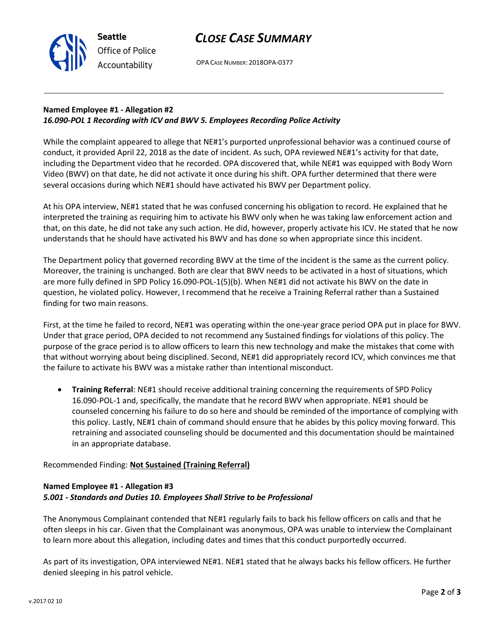

**Seattle** *Office of Police Accountability*

OPA CASE NUMBER: 2018OPA-0377

## **Named Employee #1 - Allegation #2** *16.090-POL 1 Recording with ICV and BWV 5. Employees Recording Police Activity*

While the complaint appeared to allege that NE#1's purported unprofessional behavior was a continued course of conduct, it provided April 22, 2018 as the date of incident. As such, OPA reviewed NE#1's activity for that date, including the Department video that he recorded. OPA discovered that, while NE#1 was equipped with Body Worn Video (BWV) on that date, he did not activate it once during his shift. OPA further determined that there were several occasions during which NE#1 should have activated his BWV per Department policy.

At his OPA interview, NE#1 stated that he was confused concerning his obligation to record. He explained that he interpreted the training as requiring him to activate his BWV only when he was taking law enforcement action and that, on this date, he did not take any such action. He did, however, properly activate his ICV. He stated that he now understands that he should have activated his BWV and has done so when appropriate since this incident.

The Department policy that governed recording BWV at the time of the incident is the same as the current policy. Moreover, the training is unchanged. Both are clear that BWV needs to be activated in a host of situations, which are more fully defined in SPD Policy 16.090-POL-1(5)(b). When NE#1 did not activate his BWV on the date in question, he violated policy. However, I recommend that he receive a Training Referral rather than a Sustained finding for two main reasons.

First, at the time he failed to record, NE#1 was operating within the one-year grace period OPA put in place for BWV. Under that grace period, OPA decided to not recommend any Sustained findings for violations of this policy. The purpose of the grace period is to allow officers to learn this new technology and make the mistakes that come with that without worrying about being disciplined. Second, NE#1 did appropriately record ICV, which convinces me that the failure to activate his BWV was a mistake rather than intentional misconduct.

• **Training Referral**: NE#1 should receive additional training concerning the requirements of SPD Policy 16.090-POL-1 and, specifically, the mandate that he record BWV when appropriate. NE#1 should be counseled concerning his failure to do so here and should be reminded of the importance of complying with this policy. Lastly, NE#1 chain of command should ensure that he abides by this policy moving forward. This retraining and associated counseling should be documented and this documentation should be maintained in an appropriate database.

# Recommended Finding: **Not Sustained (Training Referral)**

## **Named Employee #1 - Allegation #3** *5.001 - Standards and Duties 10. Employees Shall Strive to be Professional*

The Anonymous Complainant contended that NE#1 regularly fails to back his fellow officers on calls and that he often sleeps in his car. Given that the Complainant was anonymous, OPA was unable to interview the Complainant to learn more about this allegation, including dates and times that this conduct purportedly occurred.

As part of its investigation, OPA interviewed NE#1. NE#1 stated that he always backs his fellow officers. He further denied sleeping in his patrol vehicle.